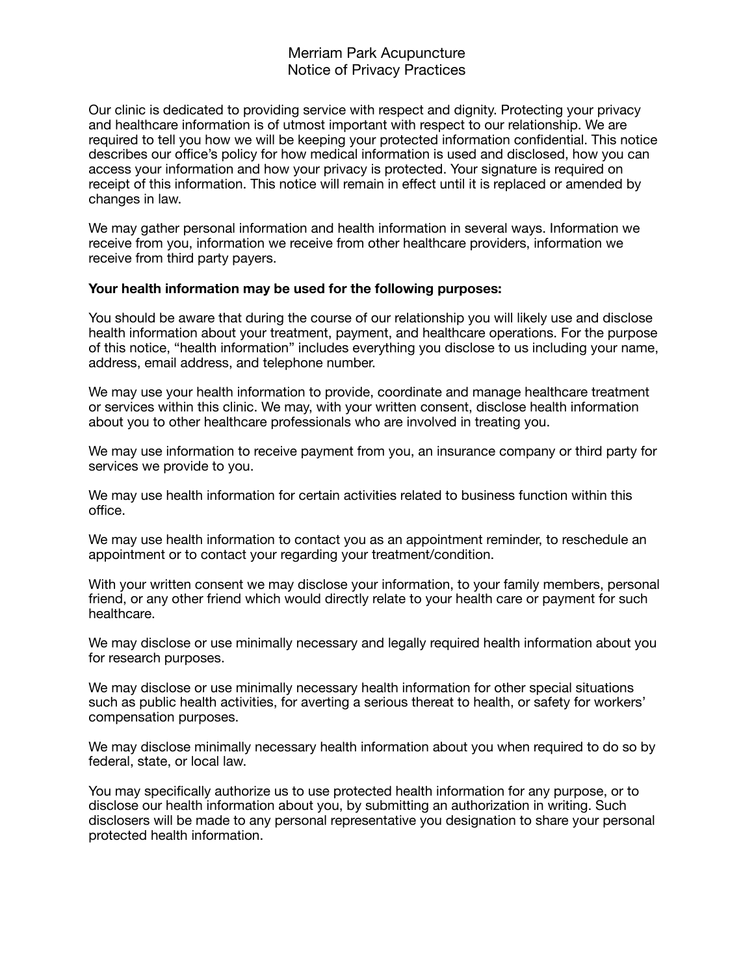## Merriam Park Acupuncture Notice of Privacy Practices

Our clinic is dedicated to providing service with respect and dignity. Protecting your privacy and healthcare information is of utmost important with respect to our relationship. We are required to tell you how we will be keeping your protected information confidential. This notice describes our office's policy for how medical information is used and disclosed, how you can access your information and how your privacy is protected. Your signature is required on receipt of this information. This notice will remain in effect until it is replaced or amended by changes in law.

We may gather personal information and health information in several ways. Information we receive from you, information we receive from other healthcare providers, information we receive from third party payers.

## **Your health information may be used for the following purposes:**

You should be aware that during the course of our relationship you will likely use and disclose health information about your treatment, payment, and healthcare operations. For the purpose of this notice, "health information" includes everything you disclose to us including your name, address, email address, and telephone number.

We may use your health information to provide, coordinate and manage healthcare treatment or services within this clinic. We may, with your written consent, disclose health information about you to other healthcare professionals who are involved in treating you.

We may use information to receive payment from you, an insurance company or third party for services we provide to you.

We may use health information for certain activities related to business function within this office.

We may use health information to contact you as an appointment reminder, to reschedule an appointment or to contact your regarding your treatment/condition.

With your written consent we may disclose your information, to your family members, personal friend, or any other friend which would directly relate to your health care or payment for such healthcare.

We may disclose or use minimally necessary and legally required health information about you for research purposes.

We may disclose or use minimally necessary health information for other special situations such as public health activities, for averting a serious thereat to health, or safety for workers' compensation purposes.

We may disclose minimally necessary health information about you when required to do so by federal, state, or local law.

You may specifically authorize us to use protected health information for any purpose, or to disclose our health information about you, by submitting an authorization in writing. Such disclosers will be made to any personal representative you designation to share your personal protected health information.